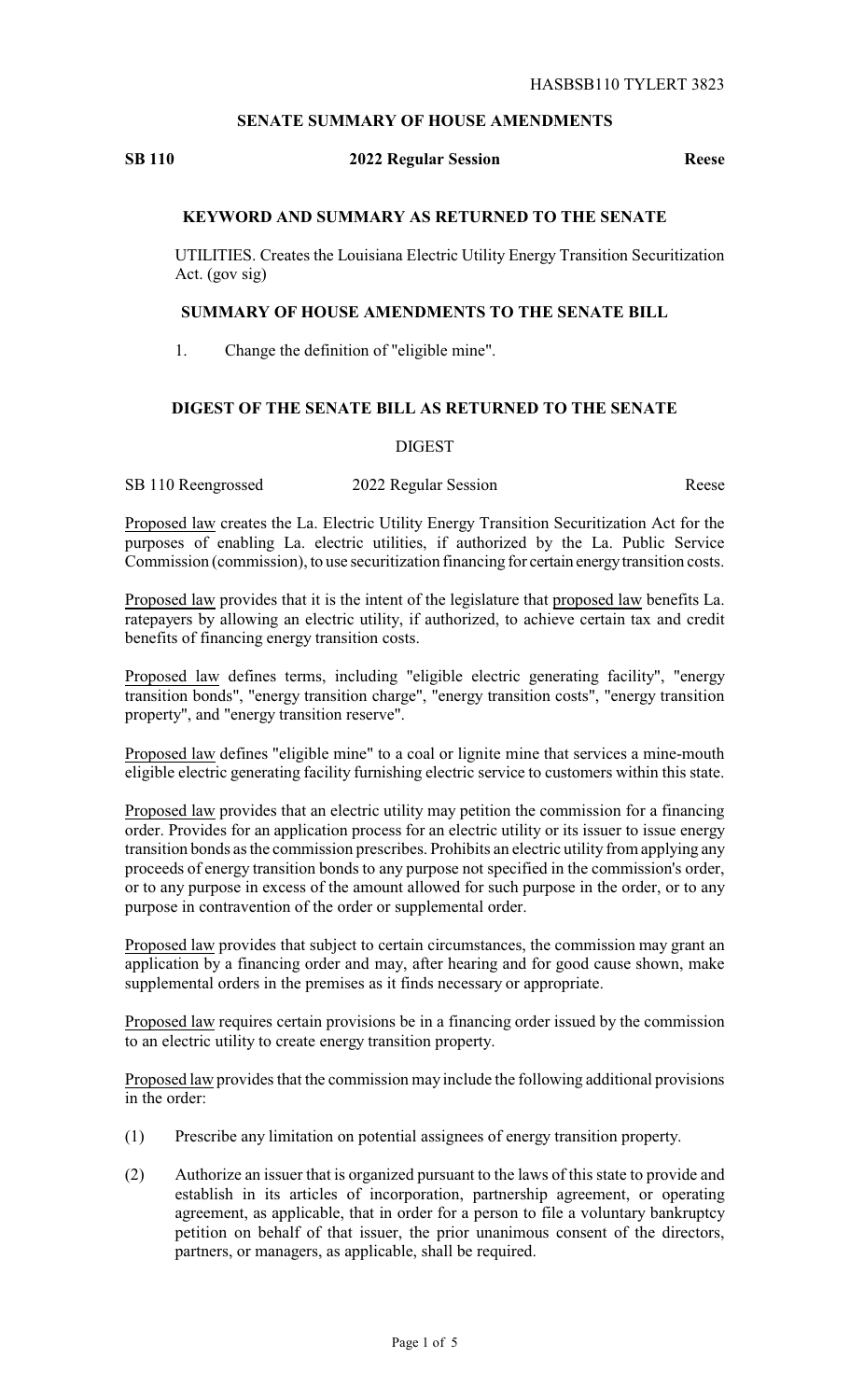## **SENATE SUMMARY OF HOUSE AMENDMENTS**

### **SB 110 2022 Regular Session Reese**

## **KEYWORD AND SUMMARY AS RETURNED TO THE SENATE**

UTILITIES. Creates the Louisiana Electric Utility Energy Transition Securitization Act. (gov sig)

### **SUMMARY OF HOUSE AMENDMENTS TO THE SENATE BILL**

1. Change the definition of "eligible mine".

# **DIGEST OF THE SENATE BILL AS RETURNED TO THE SENATE**

#### DIGEST

SB 110 Reengrossed 2022 Regular Session Reese

Proposed law creates the La. Electric Utility Energy Transition Securitization Act for the purposes of enabling La. electric utilities, if authorized by the La. Public Service Commission (commission), to use securitization financing for certain energytransition costs.

Proposed law provides that it is the intent of the legislature that proposed law benefits La. ratepayers by allowing an electric utility, if authorized, to achieve certain tax and credit benefits of financing energy transition costs.

Proposed law defines terms, including "eligible electric generating facility", "energy transition bonds", "energy transition charge", "energy transition costs", "energy transition property", and "energy transition reserve".

Proposed law defines "eligible mine" to a coal or lignite mine that services a mine-mouth eligible electric generating facility furnishing electric service to customers within this state.

Proposed law provides that an electric utility may petition the commission for a financing order. Provides for an application process for an electric utility or its issuer to issue energy transition bonds as the commission prescribes. Prohibits an electric utility from applying any proceeds of energy transition bonds to any purpose not specified in the commission's order, or to any purpose in excess of the amount allowed for such purpose in the order, or to any purpose in contravention of the order or supplemental order.

Proposed law provides that subject to certain circumstances, the commission may grant an application by a financing order and may, after hearing and for good cause shown, make supplemental orders in the premises as it finds necessary or appropriate.

Proposed law requires certain provisions be in a financing order issued by the commission to an electric utility to create energy transition property.

Proposed law provides that the commission may include the following additional provisions in the order:

- (1) Prescribe any limitation on potential assignees of energy transition property.
- (2) Authorize an issuer that is organized pursuant to the laws of this state to provide and establish in its articles of incorporation, partnership agreement, or operating agreement, as applicable, that in order for a person to file a voluntary bankruptcy petition on behalf of that issuer, the prior unanimous consent of the directors, partners, or managers, as applicable, shall be required.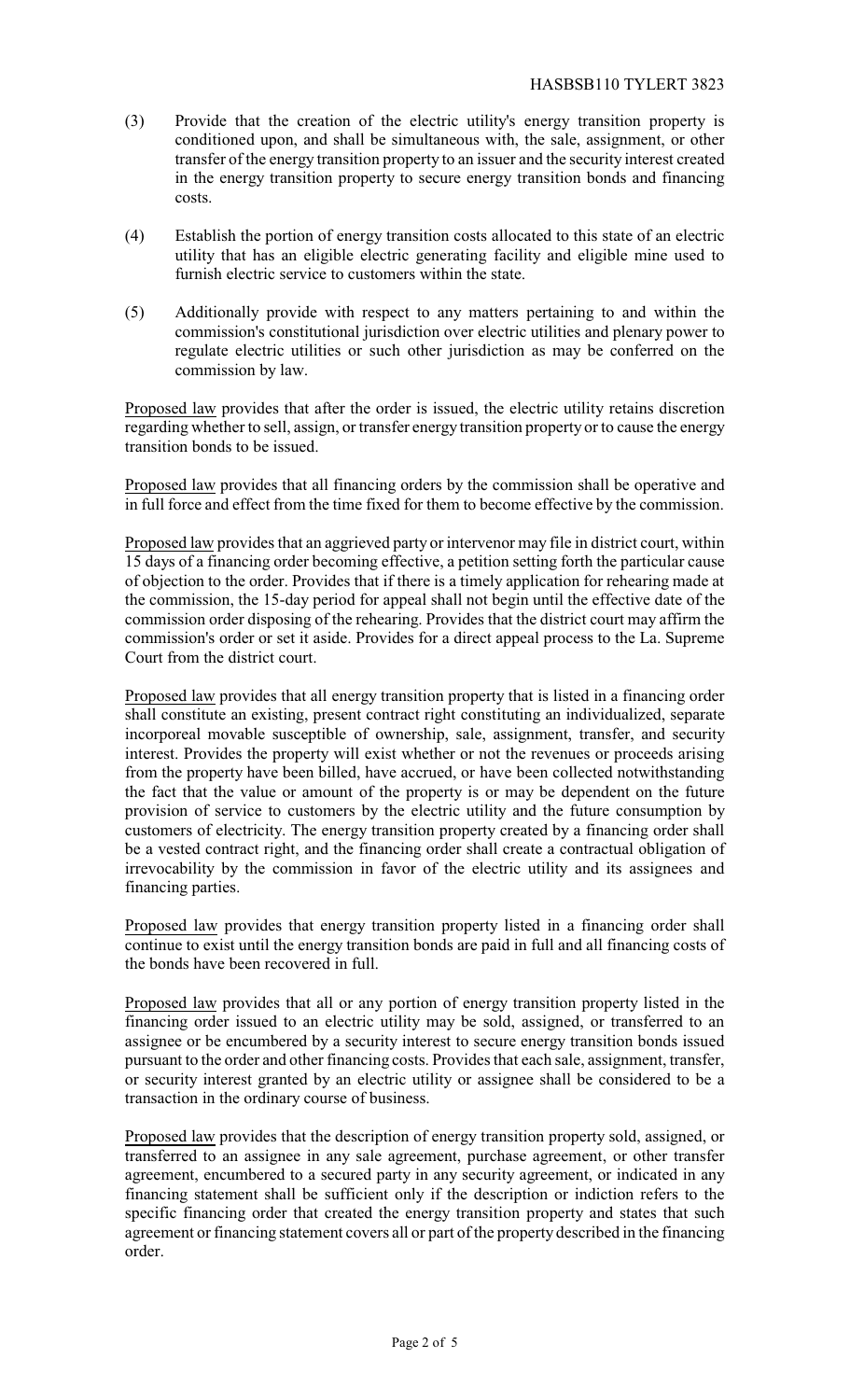- (3) Provide that the creation of the electric utility's energy transition property is conditioned upon, and shall be simultaneous with, the sale, assignment, or other transfer of the energy transition property to an issuer and the security interest created in the energy transition property to secure energy transition bonds and financing costs.
- (4) Establish the portion of energy transition costs allocated to this state of an electric utility that has an eligible electric generating facility and eligible mine used to furnish electric service to customers within the state.
- (5) Additionally provide with respect to any matters pertaining to and within the commission's constitutional jurisdiction over electric utilities and plenary power to regulate electric utilities or such other jurisdiction as may be conferred on the commission by law.

Proposed law provides that after the order is issued, the electric utility retains discretion regarding whether to sell, assign, or transfer energy transition property or to cause the energy transition bonds to be issued.

Proposed law provides that all financing orders by the commission shall be operative and in full force and effect from the time fixed for them to become effective by the commission.

Proposed law provides that an aggrieved party or intervenor may file in district court, within 15 days of a financing order becoming effective, a petition setting forth the particular cause of objection to the order. Provides that if there is a timely application for rehearing made at the commission, the 15-day period for appeal shall not begin until the effective date of the commission order disposing of the rehearing. Provides that the district court may affirm the commission's order or set it aside. Provides for a direct appeal process to the La. Supreme Court from the district court.

Proposed law provides that all energy transition property that is listed in a financing order shall constitute an existing, present contract right constituting an individualized, separate incorporeal movable susceptible of ownership, sale, assignment, transfer, and security interest. Provides the property will exist whether or not the revenues or proceeds arising from the property have been billed, have accrued, or have been collected notwithstanding the fact that the value or amount of the property is or may be dependent on the future provision of service to customers by the electric utility and the future consumption by customers of electricity. The energy transition property created by a financing order shall be a vested contract right, and the financing order shall create a contractual obligation of irrevocability by the commission in favor of the electric utility and its assignees and financing parties.

Proposed law provides that energy transition property listed in a financing order shall continue to exist until the energy transition bonds are paid in full and all financing costs of the bonds have been recovered in full.

Proposed law provides that all or any portion of energy transition property listed in the financing order issued to an electric utility may be sold, assigned, or transferred to an assignee or be encumbered by a security interest to secure energy transition bonds issued pursuant to the order and other financing costs. Provides that each sale, assignment, transfer, or security interest granted by an electric utility or assignee shall be considered to be a transaction in the ordinary course of business.

Proposed law provides that the description of energy transition property sold, assigned, or transferred to an assignee in any sale agreement, purchase agreement, or other transfer agreement, encumbered to a secured party in any security agreement, or indicated in any financing statement shall be sufficient only if the description or indiction refers to the specific financing order that created the energy transition property and states that such agreement or financing statement covers all or part of the property described in the financing order.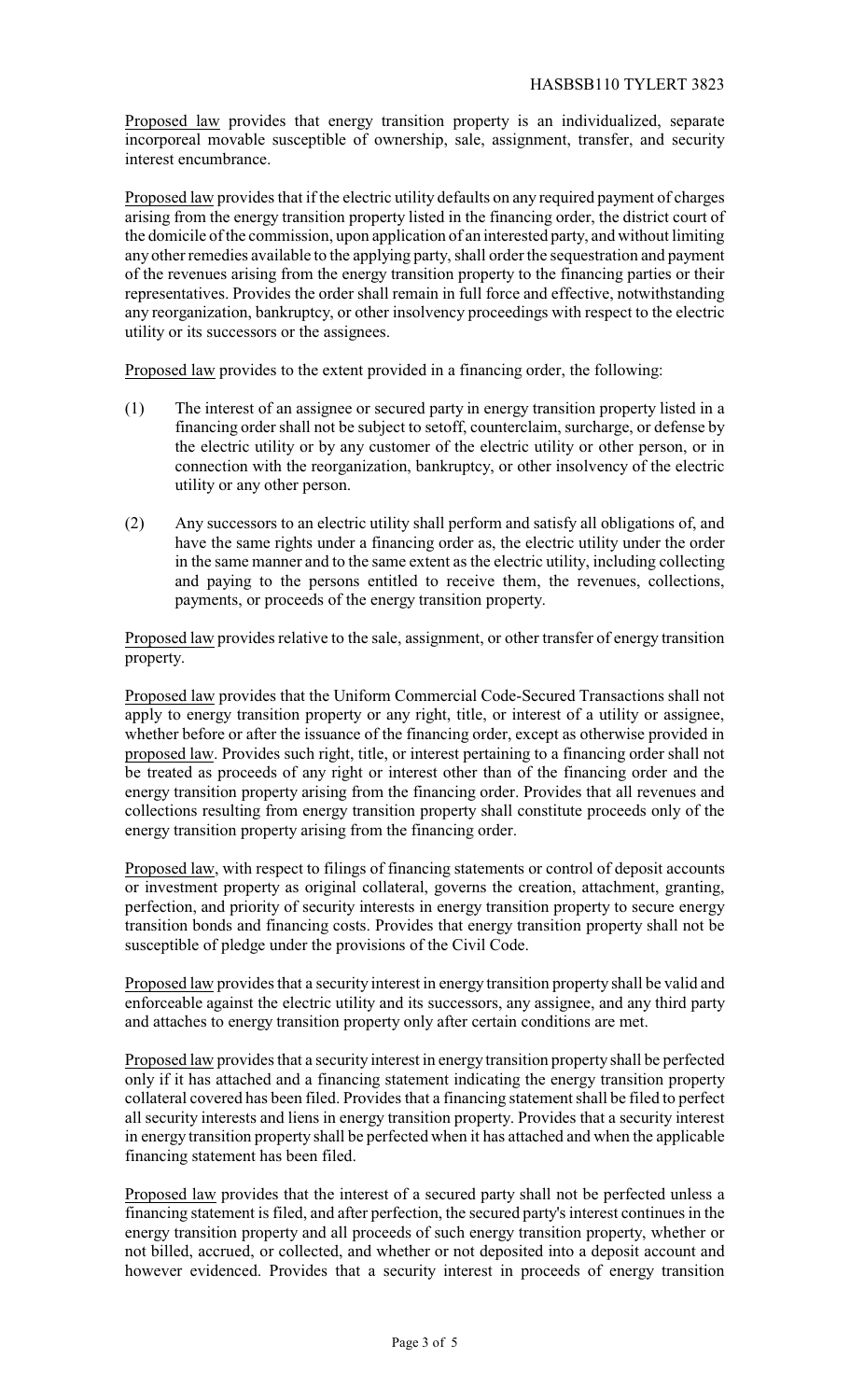Proposed law provides that energy transition property is an individualized, separate incorporeal movable susceptible of ownership, sale, assignment, transfer, and security interest encumbrance.

Proposed law provides that if the electric utility defaults on any required payment of charges arising from the energy transition property listed in the financing order, the district court of the domicile of the commission, upon application of an interested party, and without limiting any other remedies available to the applying party, shall order the sequestration and payment of the revenues arising from the energy transition property to the financing parties or their representatives. Provides the order shall remain in full force and effective, notwithstanding any reorganization, bankruptcy, or other insolvency proceedings with respect to the electric utility or its successors or the assignees.

Proposed law provides to the extent provided in a financing order, the following:

- (1) The interest of an assignee or secured party in energy transition property listed in a financing order shall not be subject to setoff, counterclaim, surcharge, or defense by the electric utility or by any customer of the electric utility or other person, or in connection with the reorganization, bankruptcy, or other insolvency of the electric utility or any other person.
- (2) Any successors to an electric utility shall perform and satisfy all obligations of, and have the same rights under a financing order as, the electric utility under the order in the same manner and to the same extent as the electric utility, including collecting and paying to the persons entitled to receive them, the revenues, collections, payments, or proceeds of the energy transition property.

Proposed law provides relative to the sale, assignment, or other transfer of energy transition property.

Proposed law provides that the Uniform Commercial Code-Secured Transactions shall not apply to energy transition property or any right, title, or interest of a utility or assignee, whether before or after the issuance of the financing order, except as otherwise provided in proposed law. Provides such right, title, or interest pertaining to a financing order shall not be treated as proceeds of any right or interest other than of the financing order and the energy transition property arising from the financing order. Provides that all revenues and collections resulting from energy transition property shall constitute proceeds only of the energy transition property arising from the financing order.

Proposed law, with respect to filings of financing statements or control of deposit accounts or investment property as original collateral, governs the creation, attachment, granting, perfection, and priority of security interests in energy transition property to secure energy transition bonds and financing costs. Provides that energy transition property shall not be susceptible of pledge under the provisions of the Civil Code.

Proposed law provides that a security interest in energy transition property shall be valid and enforceable against the electric utility and its successors, any assignee, and any third party and attaches to energy transition property only after certain conditions are met.

Proposed law provides that a security interest in energy transition property shall be perfected only if it has attached and a financing statement indicating the energy transition property collateral covered has been filed. Provides that a financing statement shall be filed to perfect all security interests and liens in energy transition property. Provides that a security interest in energy transition property shall be perfected when it has attached and when the applicable financing statement has been filed.

Proposed law provides that the interest of a secured party shall not be perfected unless a financing statement is filed, and after perfection, the secured party's interest continues in the energy transition property and all proceeds of such energy transition property, whether or not billed, accrued, or collected, and whether or not deposited into a deposit account and however evidenced. Provides that a security interest in proceeds of energy transition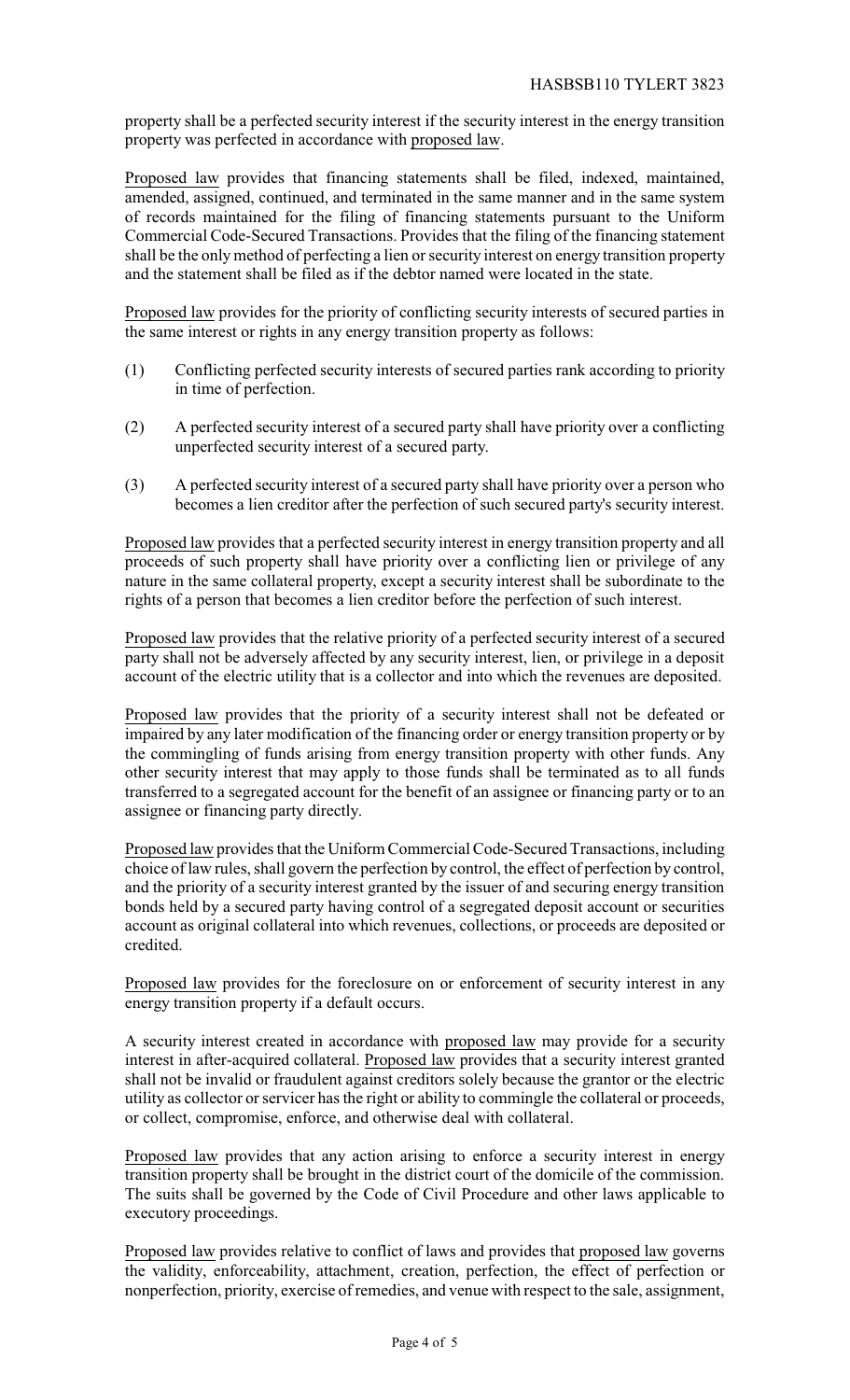property shall be a perfected security interest if the security interest in the energy transition property was perfected in accordance with proposed law.

Proposed law provides that financing statements shall be filed, indexed, maintained, amended, assigned, continued, and terminated in the same manner and in the same system of records maintained for the filing of financing statements pursuant to the Uniform Commercial Code-Secured Transactions. Provides that the filing of the financing statement shall be the onlymethod of perfecting a lien or security interest on energy transition property and the statement shall be filed as if the debtor named were located in the state.

Proposed law provides for the priority of conflicting security interests of secured parties in the same interest or rights in any energy transition property as follows:

- (1) Conflicting perfected security interests of secured parties rank according to priority in time of perfection.
- (2) A perfected security interest of a secured party shall have priority over a conflicting unperfected security interest of a secured party.
- (3) A perfected security interest of a secured party shall have priority over a person who becomes a lien creditor after the perfection of such secured party's security interest.

Proposed law provides that a perfected security interest in energy transition property and all proceeds of such property shall have priority over a conflicting lien or privilege of any nature in the same collateral property, except a security interest shall be subordinate to the rights of a person that becomes a lien creditor before the perfection of such interest.

Proposed law provides that the relative priority of a perfected security interest of a secured party shall not be adversely affected by any security interest, lien, or privilege in a deposit account of the electric utility that is a collector and into which the revenues are deposited.

Proposed law provides that the priority of a security interest shall not be defeated or impaired by any later modification of the financing order or energy transition property or by the commingling of funds arising from energy transition property with other funds. Any other security interest that may apply to those funds shall be terminated as to all funds transferred to a segregated account for the benefit of an assignee or financing party or to an assignee or financing party directly.

Proposed law provides that the Uniform Commercial Code-Secured Transactions, including choice of law rules, shall govern the perfection by control, the effect of perfection by control, and the priority of a security interest granted by the issuer of and securing energy transition bonds held by a secured party having control of a segregated deposit account or securities account as original collateral into which revenues, collections, or proceeds are deposited or credited.

Proposed law provides for the foreclosure on or enforcement of security interest in any energy transition property if a default occurs.

A security interest created in accordance with proposed law may provide for a security interest in after-acquired collateral. Proposed law provides that a security interest granted shall not be invalid or fraudulent against creditors solely because the grantor or the electric utility as collector or servicer has the right or ability to commingle the collateral or proceeds, or collect, compromise, enforce, and otherwise deal with collateral.

Proposed law provides that any action arising to enforce a security interest in energy transition property shall be brought in the district court of the domicile of the commission. The suits shall be governed by the Code of Civil Procedure and other laws applicable to executory proceedings.

Proposed law provides relative to conflict of laws and provides that proposed law governs the validity, enforceability, attachment, creation, perfection, the effect of perfection or nonperfection, priority, exercise of remedies, and venue with respect to the sale, assignment,